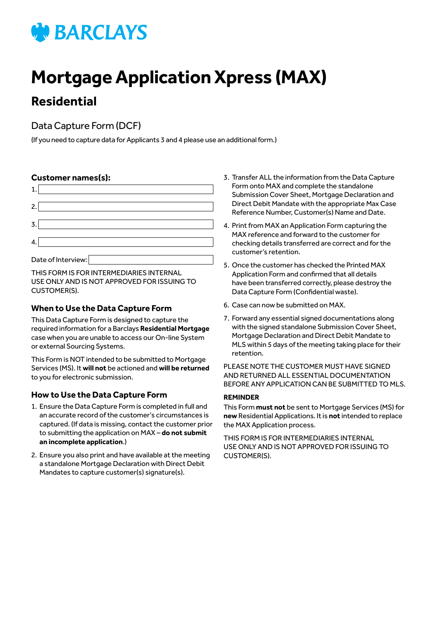# **WEARCLAYS**

# **Mortgage Application Xpress (MAX)**

# **Residential**

# Data Capture Form (DCF)

(If you need to capture data for Applicants 3 and 4 please use an additional form.)

# **Customer names(s):**

| $\overline{2}$ . |                    |
|------------------|--------------------|
| 3                |                    |
| 4                |                    |
|                  | Date of Interview: |

THIS FORM IS FOR INTERMEDIARIES INTERNAL USE ONLY AND IS NOT APPROVED FOR ISSUING TO CUSTOMER(S).

# **When to Use the Data Capture Form**

This Data Capture Form is designed to capture the required information for a Barclays **Residential Mortgage** case when you are unable to access our On-line System or external Sourcing Systems.

This Form is NOT intended to be submitted to Mortgage Services (MS). It **will not** be actioned and **will be returned** to you for electronic submission.

# **How to Use the Data Capture Form**

- 1. Ensure the Data Capture Form is completed in full and an accurate record of the customer's circumstances is captured. (If data is missing, contact the customer prior to submitting the application on MAX – **do not submit an incomplete application**.)
- 2. Ensure you also print and have available at the meeting a standalone Mortgage Declaration with Direct Debit Mandates to capture customer(s) signature(s).
- 3. Transfer ALL the information from the Data Capture Form onto MAX and complete the standalone Submission Cover Sheet, Mortgage Declaration and Direct Debit Mandate with the appropriate Max Case Reference Number, Customer(s) Name and Date.
- 4. Print from MAX an Application Form capturing the MAX reference and forward to the customer for checking details transferred are correct and for the customer's retention.
- 5. Once the customer has checked the Printed MAX Application Form and confirmed that all details have been transferred correctly, please destroy the Data Capture Form (Confidential waste).
- 6. Case can now be submitted on MAX.
- 7. Forward any essential signed documentations along with the signed standalone Submission Cover Sheet, Mortgage Declaration and Direct Debit Mandate to MLS within 5 days of the meeting taking place for their retention.

PLEASE NOTE THE CUSTOMER MUST HAVE SIGNED AND RETURNED ALL ESSENTIAL DOCUMENTATION BEFORE ANY APPLICATION CAN BE SUBMITTED TO MLS.

#### **REMINDER**

This Form **must not** be sent to Mortgage Services (MS) for **new** Residential Applications. It is **not** intended to replace the MAX Application process.

THIS FORM IS FOR INTERMEDIARIES INTERNAL USE ONLY AND IS NOT APPROVED FOR ISSUING TO CUSTOMER(S).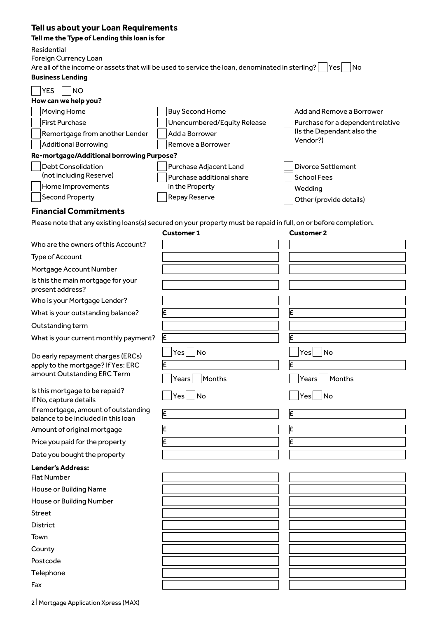# **Tell us about your Loan Requirements**

**Tell me the Type of Lending this loan is for**

Residential

Foreign Currency Loan

Are all of the income or assets that will be used to service the loan, denominated in sterling? Tes No

# **Business Lending**

| <b>YES</b><br><b>NO</b>                   |                             |                                   |
|-------------------------------------------|-----------------------------|-----------------------------------|
| How can we help you?                      |                             |                                   |
| Moving Home                               | <b>Buy Second Home</b>      | Add and Remove a Borrower         |
| First Purchase                            | Unencumbered/Equity Release | Purchase for a dependent relative |
| Remortgage from another Lender            | Add a Borrower              | (Is the Dependant also the        |
| Additional Borrowing                      | Remove a Borrower           | Vendor?)                          |
| Re-mortgage/Additional borrowing Purpose? |                             |                                   |
| Debt Consolidation                        | Purchase Adjacent Land      | Divorce Settlement                |
| (not including Reserve)                   | Purchase additional share   | <b>School Fees</b>                |
| Home Improvements                         | in the Property             | Wedding                           |
| <b>Second Property</b>                    | <b>Repay Reserve</b>        | Other (provide details)           |

#### **Financial Commitments**

Please note that any existing loans(s) secured on your property must be repaid in full, on or before completion.

|                                                                                                        | <b>Customer 1</b>                 | <b>Customer 2</b>                 |
|--------------------------------------------------------------------------------------------------------|-----------------------------------|-----------------------------------|
| Who are the owners of this Account?                                                                    |                                   |                                   |
| Type of Account                                                                                        |                                   |                                   |
| Mortgage Account Number                                                                                |                                   |                                   |
| Is this the main mortgage for your<br>present address?                                                 |                                   |                                   |
| Who is your Mortgage Lender?                                                                           |                                   |                                   |
| What is your outstanding balance?                                                                      | £                                 | E                                 |
| Outstanding term                                                                                       |                                   |                                   |
| What is your current monthly payment?                                                                  | E                                 | E                                 |
| Do early repayment charges (ERCs)<br>apply to the mortgage? If Yes: ERC<br>amount Outstanding ERC Term | Yes<br>No<br>E<br>Months<br>Years | No<br>Yes<br>E<br>Months<br>Years |
| Is this mortgage to be repaid?<br>If No, capture details                                               | Yes<br>No                         | $^{-}$ No<br>Yes                  |
| If remortgage, amount of outstanding<br>balance to be included in this loan                            | E                                 | E                                 |
| Amount of original mortgage                                                                            | E                                 | E                                 |
| Price you paid for the property                                                                        | £                                 | E                                 |
| Date you bought the property                                                                           |                                   |                                   |
| <b>Lender's Address:</b>                                                                               |                                   |                                   |
| <b>Flat Number</b>                                                                                     |                                   |                                   |
| House or Building Name                                                                                 |                                   |                                   |
| House or Building Number                                                                               |                                   |                                   |
| <b>Street</b>                                                                                          |                                   |                                   |
| <b>District</b>                                                                                        |                                   |                                   |
| Town                                                                                                   |                                   |                                   |
| County                                                                                                 |                                   |                                   |
| Postcode                                                                                               |                                   |                                   |
| Telephone                                                                                              |                                   |                                   |
| Fax                                                                                                    |                                   |                                   |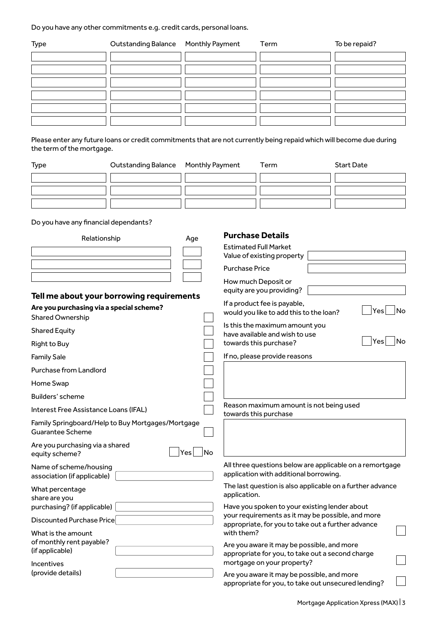Do you have any other commitments e.g. credit cards, personal loans.

| Type | Outstanding Balance Monthly Payment | Term | To be repaid? |
|------|-------------------------------------|------|---------------|
|      |                                     |      |               |
|      |                                     |      |               |
|      |                                     |      |               |
|      |                                     |      |               |
|      |                                     |      |               |
|      |                                     |      |               |

Please enter any future loans or credit commitments that are not currently being repaid which will become due during the term of the mortgage.

| <b>Type</b> | Outstanding Balance Monthly Payment | Term | <b>Start Date</b> |
|-------------|-------------------------------------|------|-------------------|
|             |                                     |      |                   |
|             |                                     |      |                   |
|             |                                     |      |                   |

Do you have any financial dependants?

| Relationship                                                                                                     | Age       | <b>Purchase Details</b><br><b>Estimated Full Market</b><br>Value of existing property                                                    |
|------------------------------------------------------------------------------------------------------------------|-----------|------------------------------------------------------------------------------------------------------------------------------------------|
|                                                                                                                  |           | <b>Purchase Price</b>                                                                                                                    |
| Tell me about your borrowing requirements<br>Are you purchasing via a special scheme?<br><b>Shared Ownership</b> |           | How much Deposit or<br>equity are you providing?<br>If a product fee is payable,<br>Yes<br>No<br>would you like to add this to the loan? |
| <b>Shared Equity</b>                                                                                             |           | Is this the maximum amount you<br>have available and wish to use                                                                         |
| <b>Right to Buy</b>                                                                                              |           | Yes<br>No<br>towards this purchase?                                                                                                      |
| <b>Family Sale</b>                                                                                               |           | If no, please provide reasons                                                                                                            |
| <b>Purchase from Landlord</b>                                                                                    |           |                                                                                                                                          |
| Home Swap                                                                                                        |           |                                                                                                                                          |
| Builders' scheme                                                                                                 |           |                                                                                                                                          |
| Interest Free Assistance Loans (IFAL)                                                                            |           | Reason maximum amount is not being used<br>towards this purchase                                                                         |
| Family Springboard/Help to Buy Mortgages/Mortgage<br><b>Guarantee Scheme</b>                                     |           |                                                                                                                                          |
| Are you purchasing via a shared<br>equity scheme?                                                                | No<br>Yes |                                                                                                                                          |
| Name of scheme/housing<br>association (if applicable)                                                            |           | All three questions below are applicable on a remortgage<br>application with additional borrowing.                                       |
| What percentage<br>share are you                                                                                 |           | The last question is also applicable on a further advance<br>application.                                                                |
| purchasing? (if applicable)                                                                                      |           | Have you spoken to your existing lender about                                                                                            |
| Discounted Purchase Price                                                                                        |           | your requirements as it may be possible, and more<br>appropriate, for you to take out a further advance<br>with them?                    |
| What is the amount<br>of monthly rent payable?<br>(if applicable)<br><b>Incentives</b>                           |           | Are you aware it may be possible, and more<br>appropriate for you, to take out a second charge<br>mortgage on your property?             |
| (provide details)                                                                                                |           | Are you aware it may be possible, and more<br>appropriate for you, to take out unsecured lending?                                        |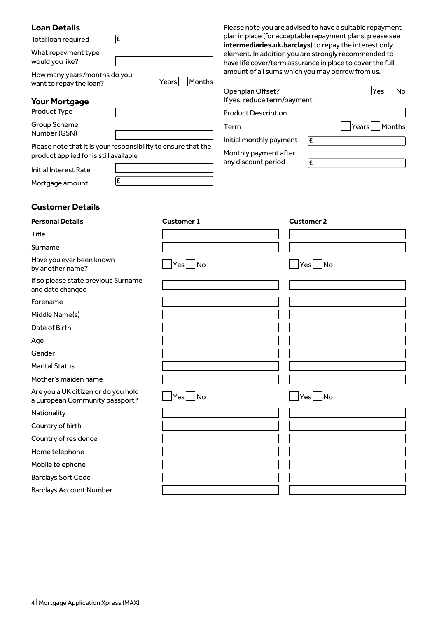| <b>Loan Details</b>                                                                                     |    |                        |                                                                                                                     |                   | Please note you are advised to have a suitable repayment |
|---------------------------------------------------------------------------------------------------------|----|------------------------|---------------------------------------------------------------------------------------------------------------------|-------------------|----------------------------------------------------------|
| £<br>Total loan required<br>What repayment type<br>would you like?                                      |    |                        | plan in place (for acceptable repayment plans, please see<br>intermediaries.uk.barclays) to repay the interest only |                   |                                                          |
|                                                                                                         |    |                        | element. In addition you are strongly recommended to<br>have life cover/term assurance in place to cover the full   |                   |                                                          |
| How many years/months do you<br>want to repay the loan?                                                 |    | Months<br>Years        | amount of all sums which you may borrow from us.<br>Openplan Offset?                                                |                   | Yes<br> No                                               |
| <b>Your Mortgage</b>                                                                                    |    |                        | If yes, reduce term/payment                                                                                         |                   |                                                          |
| Product Type                                                                                            |    |                        | <b>Product Description</b>                                                                                          |                   |                                                          |
| Group Scheme<br>Number (GSN)                                                                            |    |                        | Term<br>Initial monthly payment                                                                                     | E                 | Months<br>Years                                          |
| Please note that it is your responsibility to ensure that the<br>product applied for is still available |    |                        | Monthly payment after<br>any discount period                                                                        |                   |                                                          |
| <b>Initial Interest Rate</b>                                                                            |    |                        |                                                                                                                     | £                 |                                                          |
| Mortgage amount                                                                                         | ĺ£ |                        |                                                                                                                     |                   |                                                          |
| <b>Customer Details</b>                                                                                 |    |                        |                                                                                                                     |                   |                                                          |
| <b>Personal Details</b>                                                                                 |    | <b>Customer 1</b>      |                                                                                                                     | <b>Customer 2</b> |                                                          |
| Title                                                                                                   |    |                        |                                                                                                                     |                   |                                                          |
| Surname                                                                                                 |    |                        |                                                                                                                     |                   |                                                          |
| Have you ever been known<br>by another name?                                                            |    | No<br>Yes              |                                                                                                                     |                   | Yes No                                                   |
| If so please state previous Surname<br>and date changed                                                 |    |                        |                                                                                                                     |                   |                                                          |
| Forename                                                                                                |    |                        |                                                                                                                     |                   |                                                          |
| Middle Name(s)                                                                                          |    |                        |                                                                                                                     |                   |                                                          |
| Date of Birth                                                                                           |    |                        |                                                                                                                     |                   |                                                          |
| Age                                                                                                     |    |                        |                                                                                                                     |                   |                                                          |
| Gender                                                                                                  |    |                        |                                                                                                                     |                   |                                                          |
| <b>Marital Status</b>                                                                                   |    |                        |                                                                                                                     |                   |                                                          |
| Mother's maiden name                                                                                    |    |                        |                                                                                                                     |                   |                                                          |
| Are you a UK citizen or do you hold<br>a European Community passport?                                   |    | No<br>Yes <sub>l</sub> |                                                                                                                     |                   | Yes No                                                   |
| Nationality                                                                                             |    |                        |                                                                                                                     |                   |                                                          |
| Country of birth                                                                                        |    |                        |                                                                                                                     |                   |                                                          |
| Country of residence                                                                                    |    |                        |                                                                                                                     |                   |                                                          |
| Home telephone                                                                                          |    |                        |                                                                                                                     |                   |                                                          |
| Mobile telephone                                                                                        |    |                        |                                                                                                                     |                   |                                                          |
| <b>Barclays Sort Code</b>                                                                               |    |                        |                                                                                                                     |                   |                                                          |
| <b>Barclays Account Number</b>                                                                          |    |                        |                                                                                                                     |                   |                                                          |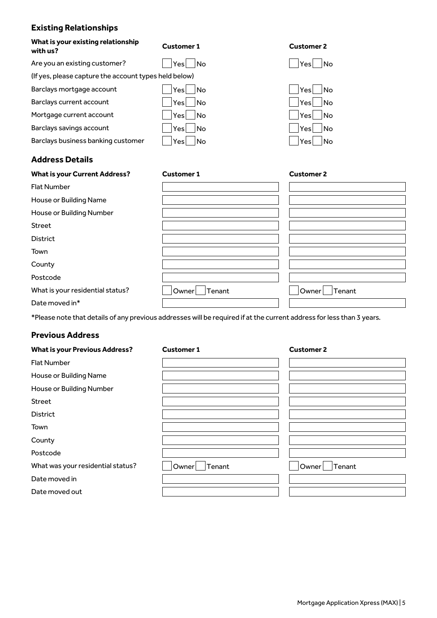# **Existing Relationships**

| What is your existing relationship<br>with us?        | <b>Customer 1</b> | <b>Customer 2</b> |
|-------------------------------------------------------|-------------------|-------------------|
| Are you an existing customer?                         | ⊟No<br>Yesl       | Yesl<br>⊟No       |
| (If yes, please capture the account types held below) |                   |                   |
| Barclays mortgage account                             | ∣No<br>Yesl       | Yesl<br>⊟No       |
| Barclays current account                              | <b>No</b><br>Yesl | No.<br>Yesl       |
| Mortgage current account                              | Yesl<br> No       | Yesl<br>- INo     |
| Barclays savings account                              | Yesl<br>- INo     | Yes<br>No.        |
| Barclays business banking customer                    | - INo<br>Yesl     | - INo<br>Yesl     |
| <b>Address Details</b>                                |                   |                   |

| <b>What is your Current Address?</b> | <b>Customer 1</b> | <b>Customer 2</b> |
|--------------------------------------|-------------------|-------------------|
| <b>Flat Number</b>                   |                   |                   |
| House or Building Name               |                   |                   |
| House or Building Number             |                   |                   |
| Street                               |                   |                   |
| <b>District</b>                      |                   |                   |
| Town                                 |                   |                   |
| County                               |                   |                   |
| Postcode                             |                   |                   |
| What is your residential status?     | Tenant<br>Owner   | Owner<br>Tenant   |
| Date moved in*                       |                   |                   |

\*Please note that details of any previous addresses will be required if at the current address for less than 3 years.

### **Previous Address**

| <b>What is your Previous Address?</b> | <b>Customer 1</b> | <b>Customer 2</b> |
|---------------------------------------|-------------------|-------------------|
| <b>Flat Number</b>                    |                   |                   |
| House or Building Name                |                   |                   |
| House or Building Number              |                   |                   |
| Street                                |                   |                   |
| <b>District</b>                       |                   |                   |
| Town                                  |                   |                   |
| County                                |                   |                   |
| Postcode                              |                   |                   |
| What was your residential status?     | Owner<br>Tenant   | Tenant<br>Owner   |
| Date moved in                         |                   |                   |
| Date moved out                        |                   |                   |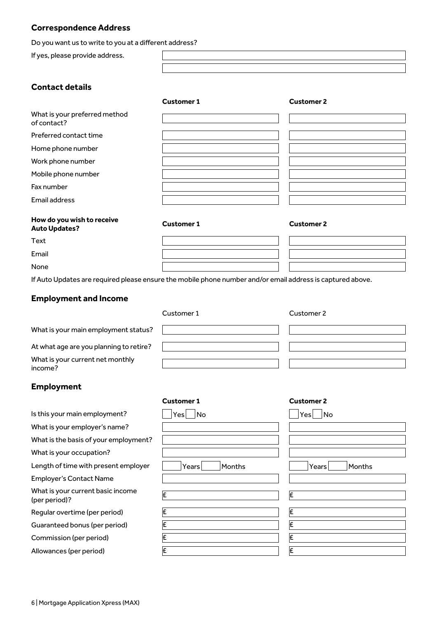#### **Correspondence Address**

Do you want us to write to you at a different address?

If yes, please provide address.

What is your preferred method

**Contact details**

Preferred contact time Home phone number Work phone number Mobile phone number

of contact?

Fax number Email address

| <b>Customer 1</b> | <b>Customer 2</b> |
|-------------------|-------------------|
|                   |                   |
|                   |                   |
|                   |                   |
|                   |                   |
|                   |                   |
|                   |                   |
|                   |                   |

#### **How do you wish to receive Auto Updates? Customer 1 Customer 2**

Text

Email

None

If Auto Updates are required please ensure the mobile phone number and/or email address is captured above.

#### **Employment and Income**

|                                             | Customer 1 | Customer 2 |
|---------------------------------------------|------------|------------|
| What is your main employment status?        |            |            |
| At what age are you planning to retire?     |            |            |
| What is your current net monthly<br>income? |            |            |

#### **Employment**

|                                                    | <b>Customer 1</b> |        | <b>Customer 2</b> |
|----------------------------------------------------|-------------------|--------|-------------------|
| Is this your main employment?                      | No<br>Yes         |        | No<br>.Yes!       |
| What is your employer's name?                      |                   |        |                   |
| What is the basis of your employment?              |                   |        |                   |
| What is your occupation?                           |                   |        |                   |
| Length of time with present employer               | Years             | Months | Months<br>Years   |
| <b>Employer's Contact Name</b>                     |                   |        |                   |
| What is your current basic income<br>(per period)? |                   |        | Ι£                |
| Regular overtime (per period)                      | ١F                |        | Ι£                |
| Guaranteed bonus (per period)                      | Ι£                |        | Ι£                |
| Commission (per period)                            |                   |        | Ι£                |
| Allowances (per period)                            | £                 |        | Ι£                |
|                                                    |                   |        |                   |

6 | Mortgage Application Xpress (MAX)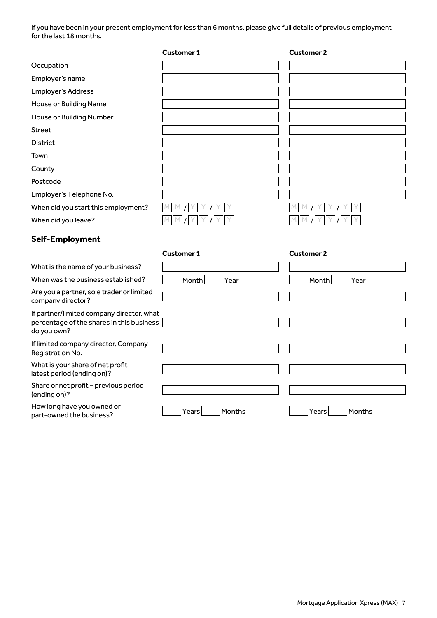If you have been in your present employment for less than 6 months, please give full details of previous employment for the last 18 months.

|                                                                                                       | <b>Customer 1</b> | <b>Customer 2</b> |
|-------------------------------------------------------------------------------------------------------|-------------------|-------------------|
| Occupation                                                                                            |                   |                   |
| Employer's name                                                                                       |                   |                   |
| <b>Employer's Address</b>                                                                             |                   |                   |
| House or Building Name                                                                                |                   |                   |
| House or Building Number                                                                              |                   |                   |
| <b>Street</b>                                                                                         |                   |                   |
| District                                                                                              |                   |                   |
| Town                                                                                                  |                   |                   |
| County                                                                                                |                   |                   |
| Postcode                                                                                              |                   |                   |
| Employer's Telephone No.                                                                              |                   |                   |
| When did you start this employment?                                                                   |                   |                   |
| When did you leave?                                                                                   |                   |                   |
| Self-Employment                                                                                       |                   |                   |
|                                                                                                       | <b>Customer 1</b> | <b>Customer 2</b> |
|                                                                                                       |                   |                   |
| What is the name of your business?                                                                    |                   |                   |
| When was the business established?                                                                    | Month<br>Year     | Month<br>Year     |
| Are you a partner, sole trader or limited<br>company director?                                        |                   |                   |
| If partner/limited company director, what<br>percentage of the shares in this business<br>do you own? |                   |                   |
| If limited company director, Company<br>Registration No.                                              |                   |                   |
| What is your share of net profit -<br>latest period (ending on)?                                      |                   |                   |
| Share or net profit - previous period<br>(ending on)?                                                 |                   |                   |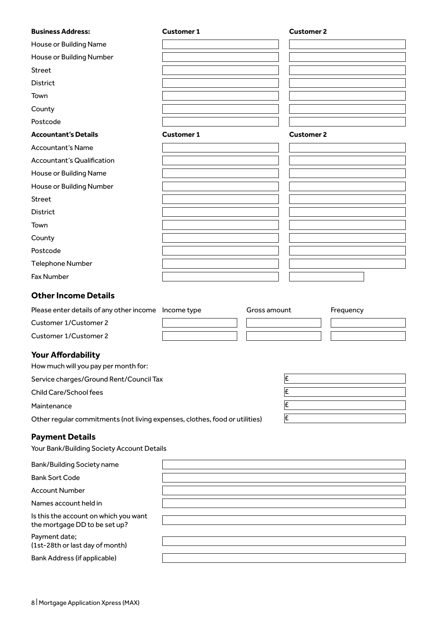| <b>Business Address:</b>                                                    | <b>Customer 1</b> | <b>Customer 2</b> |           |
|-----------------------------------------------------------------------------|-------------------|-------------------|-----------|
| House or Building Name                                                      |                   |                   |           |
| House or Building Number                                                    |                   |                   |           |
| <b>Street</b>                                                               |                   |                   |           |
| <b>District</b>                                                             |                   |                   |           |
| Town                                                                        |                   |                   |           |
| County                                                                      |                   |                   |           |
| Postcode                                                                    |                   |                   |           |
| <b>Accountant's Details</b>                                                 | <b>Customer 1</b> | <b>Customer 2</b> |           |
| <b>Accountant's Name</b>                                                    |                   |                   |           |
| <b>Accountant's Qualification</b>                                           |                   |                   |           |
| House or Building Name                                                      |                   |                   |           |
| House or Building Number                                                    |                   |                   |           |
| <b>Street</b>                                                               |                   |                   |           |
| <b>District</b>                                                             |                   |                   |           |
| Town                                                                        |                   |                   |           |
| County                                                                      |                   |                   |           |
| Postcode                                                                    |                   |                   |           |
| <b>Telephone Number</b>                                                     |                   |                   |           |
| <b>Fax Number</b>                                                           |                   |                   |           |
| <b>Other Income Details</b>                                                 |                   |                   |           |
| Please enter details of any other income   Income type                      | Gross amount      |                   | Frequency |
| Customer 1/Customer 2                                                       |                   |                   |           |
| <b>Customer 1/Customer 2</b>                                                |                   |                   |           |
| <b>Your Affordability</b>                                                   |                   |                   |           |
| How much will you pay per month for:                                        |                   |                   |           |
| Service charges/Ground Rent/Council Tax                                     |                   | Ι£                |           |
| Child Care/School fees                                                      |                   | E                 |           |
| Maintenance                                                                 |                   | Ι£                |           |
| Other regular commitments (not living expenses, clothes, food or utilities) |                   | Ι£                |           |
| <b>Payment Details</b><br>Your Bank/Building Society Account Details        |                   |                   |           |
| <b>Bank/Building Society name</b>                                           |                   |                   |           |
| <b>Bank Sort Code</b>                                                       |                   |                   |           |
| <b>Account Number</b>                                                       |                   |                   |           |
| Names account held in                                                       |                   |                   |           |
| Is this the account on which you want<br>the mortgage DD to be set up?      |                   |                   |           |
| Payment date;<br>(1st-28th or last day of month)                            |                   |                   |           |
| <b>Bank Address (if applicable)</b>                                         |                   |                   |           |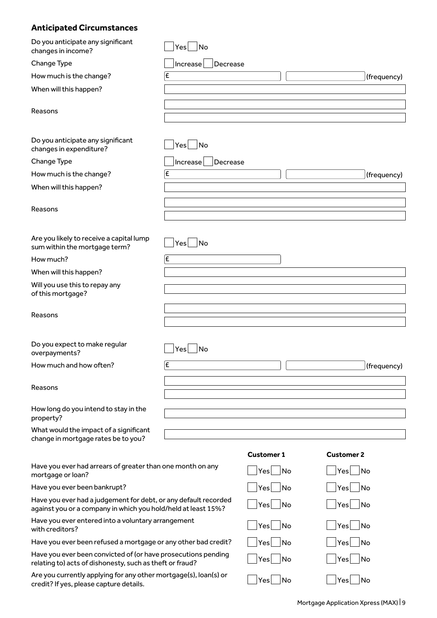# **Anticipated Circumstances**

| Do you anticipate any significant<br>changes in income?                                                                          | No<br>Yes            |                                 |                        |
|----------------------------------------------------------------------------------------------------------------------------------|----------------------|---------------------------------|------------------------|
| Change Type                                                                                                                      | Increase<br>Decrease |                                 |                        |
| How much is the change?                                                                                                          | Ι£                   |                                 | (frequency)            |
| When will this happen?                                                                                                           |                      |                                 |                        |
| Reasons                                                                                                                          |                      |                                 |                        |
| Do you anticipate any significant<br>changes in expenditure?                                                                     | $Yes \mid \text{No}$ |                                 |                        |
| Change Type                                                                                                                      | Increase<br>Decrease |                                 |                        |
| How much is the change?                                                                                                          | Ι£                   |                                 | (frequency)            |
| When will this happen?                                                                                                           |                      |                                 |                        |
| Reasons                                                                                                                          |                      |                                 |                        |
| Are you likely to receive a capital lump<br>sum within the mortgage term?                                                        | No<br>Yes            |                                 |                        |
| How much?                                                                                                                        | Ι£                   |                                 |                        |
| When will this happen?                                                                                                           |                      |                                 |                        |
| Will you use this to repay any<br>of this mortgage?                                                                              |                      |                                 |                        |
| Reasons                                                                                                                          |                      |                                 |                        |
| Do you expect to make regular<br>overpayments?                                                                                   | No <br>Yes           |                                 |                        |
| How much and how often?                                                                                                          | Ι£                   |                                 | (frequency)            |
| Reasons                                                                                                                          |                      |                                 |                        |
| How long do you intend to stay in the<br>property?                                                                               |                      |                                 |                        |
| What would the impact of a significant<br>change in mortgage rates be to you?                                                    |                      |                                 |                        |
|                                                                                                                                  |                      | <b>Customer 1</b>               | <b>Customer 2</b>      |
| Have you ever had arrears of greater than one month on any<br>mortgage or loan?                                                  |                      | $\overline{\mathsf{No}}$<br>Yes | No<br>Yes              |
| Have you ever been bankrupt?                                                                                                     |                      | No<br>Yes                       | No<br>Yes              |
| Have you ever had a judgement for debt, or any default recorded<br>against you or a company in which you hold/held at least 15%? |                      | $\overline{\mathsf{No}}$<br>Yes | No<br>Yes              |
| Have you ever entered into a voluntary arrangement<br>with creditors?                                                            |                      | No<br>Yes                       | No<br>Yes              |
| Have you ever been refused a mortgage or any other bad credit?                                                                   |                      | No<br>Yes                       | No<br>Yes              |
| Have you ever been convicted of (or have prosecutions pending<br>relating to) acts of dishonesty, such as theft or fraud?        |                      | $\overline{\mathsf{No}}$<br>Yes | No<br>Yes              |
| Are you currently applying for any other mortgage(s), loan(s) or<br>credit? If yes, please capture details.                      |                      | No<br>Yes                       | No<br>$ \mathsf{Yes} $ |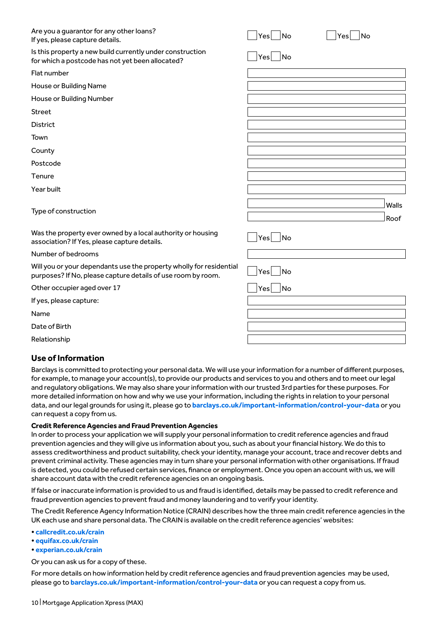| Are you a guarantor for any other loans?<br>If yes, please capture details.                                                         | $ {\sf Yes} $<br> No | No<br>Yesl    |
|-------------------------------------------------------------------------------------------------------------------------------------|----------------------|---------------|
| Is this property a new build currently under construction<br>for which a postcode has not yet been allocated?                       | $ Yes $ No           |               |
| Flat number                                                                                                                         |                      |               |
| House or Building Name                                                                                                              |                      |               |
| House or Building Number                                                                                                            |                      |               |
| <b>Street</b>                                                                                                                       |                      |               |
| <b>District</b>                                                                                                                     |                      |               |
| Town                                                                                                                                |                      |               |
| County                                                                                                                              |                      |               |
| Postcode                                                                                                                            |                      |               |
| Tenure                                                                                                                              |                      |               |
| Year built                                                                                                                          |                      |               |
| Type of construction                                                                                                                |                      | Walls<br>Roof |
| Was the property ever owned by a local authority or housing<br>association? If Yes, please capture details.                         | Yes No               |               |
| Number of bedrooms                                                                                                                  |                      |               |
| Will you or your dependants use the property wholly for residential<br>purposes? If No, please capture details of use room by room. | Yes<br> No           |               |
| Other occupier aged over 17                                                                                                         | $ Yes $ $ No$        |               |
| If yes, please capture:                                                                                                             |                      |               |
| Name                                                                                                                                |                      |               |
| Date of Birth                                                                                                                       |                      |               |
| Relationship                                                                                                                        |                      |               |

#### **Use of Information**

Barclays is committed to protecting your personal data. We will use your information for a number of different purposes, for example, to manage your account(s), to provide our products and services to you and others and to meet our legal and regulatory obligations. We may also share your information with our trusted 3rd parties for these purposes. For more detailed information on how and why we use your information, including the rights in relation to your personal data, and our legal grounds for using it, please go to **[barclays.co.uk/important-information/control-your-data](http://www.barclays.co.uk/important-information/control-your-data)** or you can request a copy from us.

#### **Credit Reference Agencies and Fraud Prevention Agencies**

In order to process your application we will supply your personal information to credit reference agencies and fraud prevention agencies and they will give us information about you, such as about your financial history. We do this to assess creditworthiness and product suitability, check your identity, manage your account, trace and recover debts and prevent criminal activity. These agencies may in turn share your personal information with other organisations. If fraud is detected, you could be refused certain services, finance or employment. Once you open an account with us, we will share account data with the credit reference agencies on an ongoing basis.

If false or inaccurate information is provided to us and fraud is identified, details may be passed to credit reference and fraud prevention agencies to prevent fraud and money laundering and to verify your identity.

The Credit Reference Agency Information Notice (CRAIN) describes how the three main credit reference agencies in the UK each use and share personal data. The CRAIN is available on the credit reference agencies' websites:

- **[callcredit.co.uk/crain](http://www.callcredit.co.uk/crain)**
- **[equifax.co.uk/crain](http://www.equifax.co.uk/crain)**
- **[experian.co.uk/crain](http://www.experian.co.uk/crain)**

Or you can ask us for a copy of these.

For more details on how information held by credit reference agencies and fraud prevention agencies may be used, please go to **[barclays.co.uk/important-information/control-your-data](http://www.barclays.co.uk/important-information/control-your-data)** or you can request a copy from us.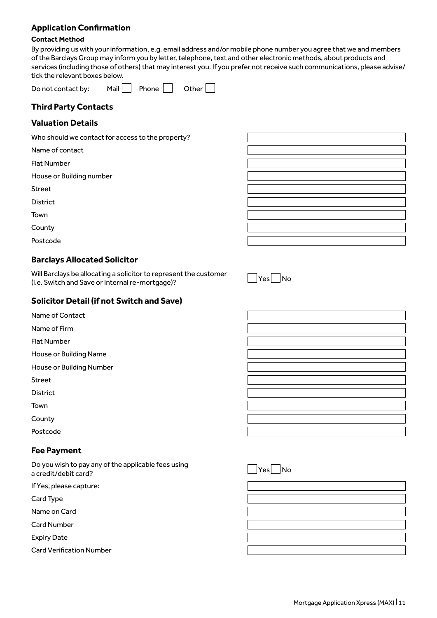#### **Application Confirmation**

#### **Contact Method**

By providing us with your information, e.g. email address and/or mobile phone number you agree that we and members of the Barclays Group may inform you by letter, telephone, text and other electronic methods, about products and services (including those of others) that may interest you. If you prefer not receive such communications, please advise/ tick the relevant boxes below.

| Do not contact by: | Mail | Phone | Other |
|--------------------|------|-------|-------|
|--------------------|------|-------|-------|

### **Third Party Contacts**

#### **Valuation Details**

Who should we contact for access to the property?

Name of contact

Flat Number

House or Building number

Street

District

Town

**County** 

Postcode

#### **Barclays Allocated Solicitor**

Will Barclays be allocating a solicitor to represent the customer will barclays be allocating a solicitor to represent the customer<br>(i.e. Switch and Save or Internal re-mortgage)?

#### **Solicitor Detail (if not Switch and Save)**

- Name of Contact
- Name of Firm

Flat Number

House or Building Name

House or Building Number

Street

District

Town

**County** 

Postcode

#### **Fee Payment**

Do you wish to pay any of the applicable fees using Do you wish to pay any of the applicable fees using<br>a credit/debit card? No

If Yes, please capture:

Card Type

Name on Card

Card Number

Expiry Date

Card Verification Number